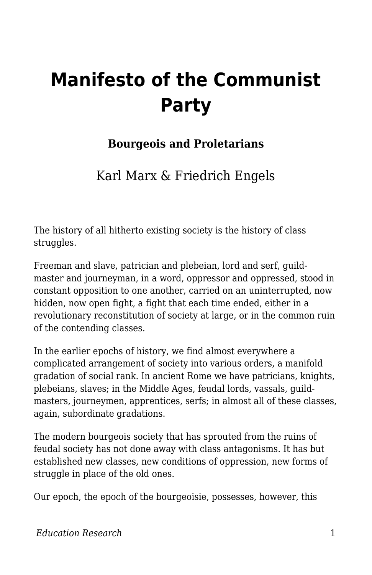## **Manifesto of the Communist Party**

## **Bourgeois and Proletarians**

Karl Marx & Friedrich Engels

The history of all hitherto existing society is the history of class struggles.

Freeman and slave, patrician and plebeian, lord and serf, guildmaster and journeyman, in a word, oppressor and oppressed, stood in constant opposition to one another, carried on an uninterrupted, now hidden, now open fight, a fight that each time ended, either in a revolutionary reconstitution of society at large, or in the common ruin of the contending classes.

In the earlier epochs of history, we find almost everywhere a complicated arrangement of society into various orders, a manifold gradation of social rank. In ancient Rome we have patricians, knights, plebeians, slaves; in the Middle Ages, feudal lords, vassals, guildmasters, journeymen, apprentices, serfs; in almost all of these classes, again, subordinate gradations.

The modern bourgeois society that has sprouted from the ruins of feudal society has not done away with class antagonisms. It has but established new classes, new conditions of oppression, new forms of struggle in place of the old ones.

Our epoch, the epoch of the bourgeoisie, possesses, however, this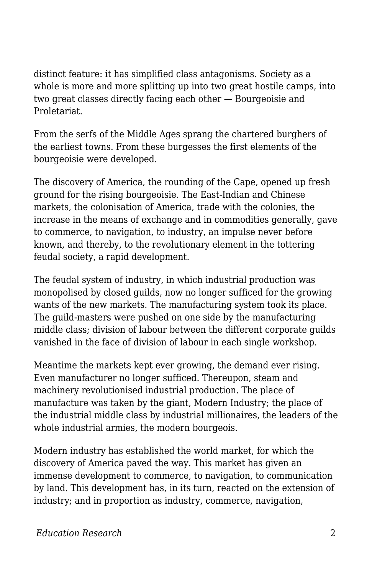distinct feature: it has simplified class antagonisms. Society as a whole is more and more splitting up into two great hostile camps, into two great classes directly facing each other — Bourgeoisie and Proletariat.

From the serfs of the Middle Ages sprang the chartered burghers of the earliest towns. From these burgesses the first elements of the bourgeoisie were developed.

The discovery of America, the rounding of the Cape, opened up fresh ground for the rising bourgeoisie. The East-Indian and Chinese markets, the colonisation of America, trade with the colonies, the increase in the means of exchange and in commodities generally, gave to commerce, to navigation, to industry, an impulse never before known, and thereby, to the revolutionary element in the tottering feudal society, a rapid development.

The feudal system of industry, in which industrial production was monopolised by closed guilds, now no longer sufficed for the growing wants of the new markets. The manufacturing system took its place. The guild-masters were pushed on one side by the manufacturing middle class; division of labour between the different corporate guilds vanished in the face of division of labour in each single workshop.

Meantime the markets kept ever growing, the demand ever rising. Even manufacturer no longer sufficed. Thereupon, steam and machinery revolutionised industrial production. The place of manufacture was taken by the giant, Modern Industry; the place of the industrial middle class by industrial millionaires, the leaders of the whole industrial armies, the modern bourgeois.

Modern industry has established the world market, for which the discovery of America paved the way. This market has given an immense development to commerce, to navigation, to communication by land. This development has, in its turn, reacted on the extension of industry; and in proportion as industry, commerce, navigation,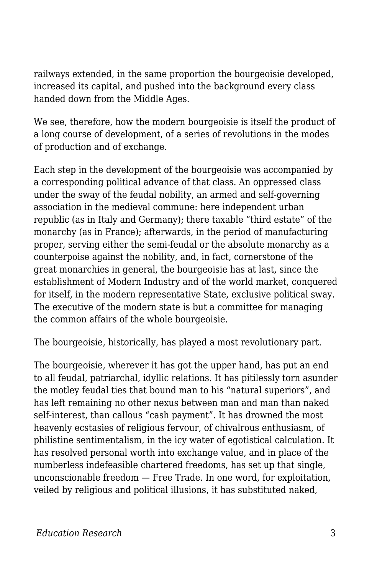railways extended, in the same proportion the bourgeoisie developed, increased its capital, and pushed into the background every class handed down from the Middle Ages.

We see, therefore, how the modern bourgeoisie is itself the product of a long course of development, of a series of revolutions in the modes of production and of exchange.

Each step in the development of the bourgeoisie was accompanied by a corresponding political advance of that class. An oppressed class under the sway of the feudal nobility, an armed and self-governing association in the medieval commune: here independent urban republic (as in Italy and Germany); there taxable "third estate" of the monarchy (as in France); afterwards, in the period of manufacturing proper, serving either the semi-feudal or the absolute monarchy as a counterpoise against the nobility, and, in fact, cornerstone of the great monarchies in general, the bourgeoisie has at last, since the establishment of Modern Industry and of the world market, conquered for itself, in the modern representative State, exclusive political sway. The executive of the modern state is but a committee for managing the common affairs of the whole bourgeoisie.

The bourgeoisie, historically, has played a most revolutionary part.

The bourgeoisie, wherever it has got the upper hand, has put an end to all feudal, patriarchal, idyllic relations. It has pitilessly torn asunder the motley feudal ties that bound man to his "natural superiors", and has left remaining no other nexus between man and man than naked self-interest, than callous "cash payment". It has drowned the most heavenly ecstasies of religious fervour, of chivalrous enthusiasm, of philistine sentimentalism, in the icy water of egotistical calculation. It has resolved personal worth into exchange value, and in place of the numberless indefeasible chartered freedoms, has set up that single, unconscionable freedom — Free Trade. In one word, for exploitation, veiled by religious and political illusions, it has substituted naked,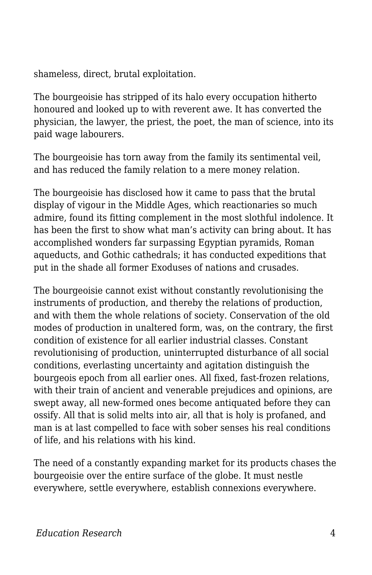shameless, direct, brutal exploitation.

The bourgeoisie has stripped of its halo every occupation hitherto honoured and looked up to with reverent awe. It has converted the physician, the lawyer, the priest, the poet, the man of science, into its paid wage labourers.

The bourgeoisie has torn away from the family its sentimental veil, and has reduced the family relation to a mere money relation.

The bourgeoisie has disclosed how it came to pass that the brutal display of vigour in the Middle Ages, which reactionaries so much admire, found its fitting complement in the most slothful indolence. It has been the first to show what man's activity can bring about. It has accomplished wonders far surpassing Egyptian pyramids, Roman aqueducts, and Gothic cathedrals; it has conducted expeditions that put in the shade all former Exoduses of nations and crusades.

The bourgeoisie cannot exist without constantly revolutionising the instruments of production, and thereby the relations of production, and with them the whole relations of society. Conservation of the old modes of production in unaltered form, was, on the contrary, the first condition of existence for all earlier industrial classes. Constant revolutionising of production, uninterrupted disturbance of all social conditions, everlasting uncertainty and agitation distinguish the bourgeois epoch from all earlier ones. All fixed, fast-frozen relations, with their train of ancient and venerable prejudices and opinions, are swept away, all new-formed ones become antiquated before they can ossify. All that is solid melts into air, all that is holy is profaned, and man is at last compelled to face with sober senses his real conditions of life, and his relations with his kind.

The need of a constantly expanding market for its products chases the bourgeoisie over the entire surface of the globe. It must nestle everywhere, settle everywhere, establish connexions everywhere.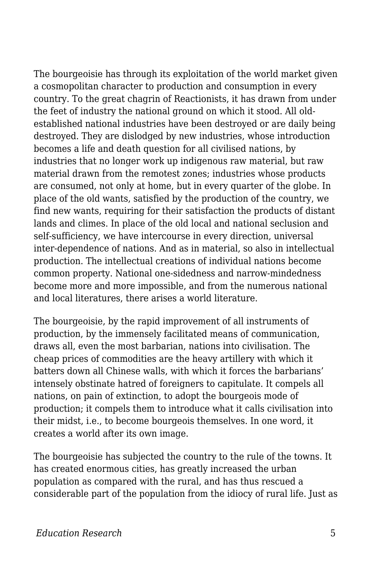The bourgeoisie has through its exploitation of the world market given a cosmopolitan character to production and consumption in every country. To the great chagrin of Reactionists, it has drawn from under the feet of industry the national ground on which it stood. All oldestablished national industries have been destroyed or are daily being destroyed. They are dislodged by new industries, whose introduction becomes a life and death question for all civilised nations, by industries that no longer work up indigenous raw material, but raw material drawn from the remotest zones; industries whose products are consumed, not only at home, but in every quarter of the globe. In place of the old wants, satisfied by the production of the country, we find new wants, requiring for their satisfaction the products of distant lands and climes. In place of the old local and national seclusion and self-sufficiency, we have intercourse in every direction, universal inter-dependence of nations. And as in material, so also in intellectual production. The intellectual creations of individual nations become common property. National one-sidedness and narrow-mindedness become more and more impossible, and from the numerous national and local literatures, there arises a world literature.

The bourgeoisie, by the rapid improvement of all instruments of production, by the immensely facilitated means of communication, draws all, even the most barbarian, nations into civilisation. The cheap prices of commodities are the heavy artillery with which it batters down all Chinese walls, with which it forces the barbarians' intensely obstinate hatred of foreigners to capitulate. It compels all nations, on pain of extinction, to adopt the bourgeois mode of production; it compels them to introduce what it calls civilisation into their midst, i.e., to become bourgeois themselves. In one word, it creates a world after its own image.

The bourgeoisie has subjected the country to the rule of the towns. It has created enormous cities, has greatly increased the urban population as compared with the rural, and has thus rescued a considerable part of the population from the idiocy of rural life. Just as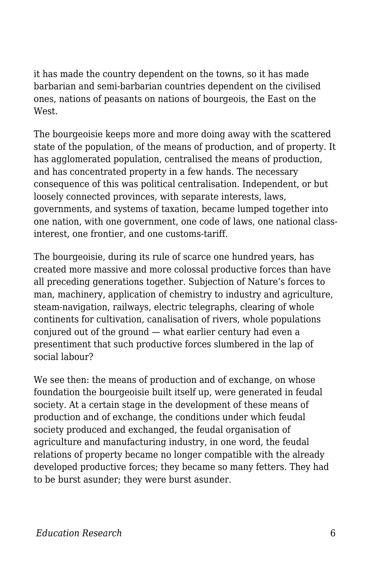it has made the country dependent on the towns, so it has made barbarian and semi-barbarian countries dependent on the civilised ones, nations of peasants on nations of bourgeois, the East on the West.

The bourgeoisie keeps more and more doing away with the scattered state of the population, of the means of production, and of property. It has agglomerated population, centralised the means of production, and has concentrated property in a few hands. The necessary consequence of this was political centralisation. Independent, or but loosely connected provinces, with separate interests, laws, governments, and systems of taxation, became lumped together into one nation, with one government, one code of laws, one national classinterest, one frontier, and one customs-tariff.

The bourgeoisie, during its rule of scarce one hundred years, has created more massive and more colossal productive forces than have all preceding generations together. Subjection of Nature's forces to man, machinery, application of chemistry to industry and agriculture, steam-navigation, railways, electric telegraphs, clearing of whole continents for cultivation, canalisation of rivers, whole populations conjured out of the ground — what earlier century had even a presentiment that such productive forces slumbered in the lap of social labour?

We see then: the means of production and of exchange, on whose foundation the bourgeoisie built itself up, were generated in feudal society. At a certain stage in the development of these means of production and of exchange, the conditions under which feudal society produced and exchanged, the feudal organisation of agriculture and manufacturing industry, in one word, the feudal relations of property became no longer compatible with the already developed productive forces; they became so many fetters. They had to be burst asunder; they were burst asunder.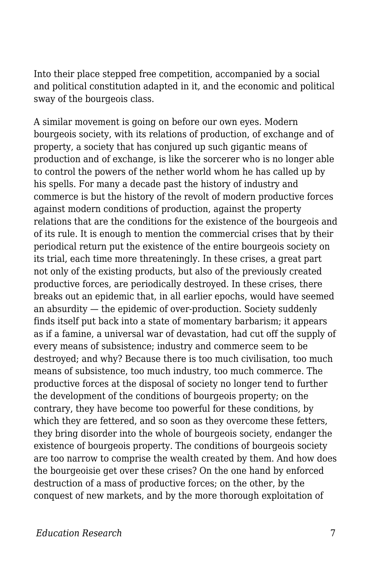Into their place stepped free competition, accompanied by a social and political constitution adapted in it, and the economic and political sway of the bourgeois class.

A similar movement is going on before our own eyes. Modern bourgeois society, with its relations of production, of exchange and of property, a society that has conjured up such gigantic means of production and of exchange, is like the sorcerer who is no longer able to control the powers of the nether world whom he has called up by his spells. For many a decade past the history of industry and commerce is but the history of the revolt of modern productive forces against modern conditions of production, against the property relations that are the conditions for the existence of the bourgeois and of its rule. It is enough to mention the commercial crises that by their periodical return put the existence of the entire bourgeois society on its trial, each time more threateningly. In these crises, a great part not only of the existing products, but also of the previously created productive forces, are periodically destroyed. In these crises, there breaks out an epidemic that, in all earlier epochs, would have seemed an absurdity — the epidemic of over-production. Society suddenly finds itself put back into a state of momentary barbarism; it appears as if a famine, a universal war of devastation, had cut off the supply of every means of subsistence; industry and commerce seem to be destroyed; and why? Because there is too much civilisation, too much means of subsistence, too much industry, too much commerce. The productive forces at the disposal of society no longer tend to further the development of the conditions of bourgeois property; on the contrary, they have become too powerful for these conditions, by which they are fettered, and so soon as they overcome these fetters, they bring disorder into the whole of bourgeois society, endanger the existence of bourgeois property. The conditions of bourgeois society are too narrow to comprise the wealth created by them. And how does the bourgeoisie get over these crises? On the one hand by enforced destruction of a mass of productive forces; on the other, by the conquest of new markets, and by the more thorough exploitation of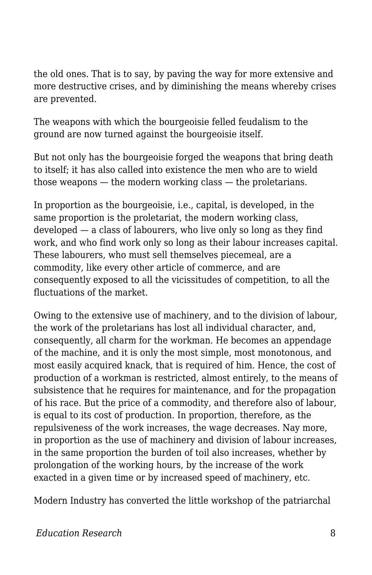the old ones. That is to say, by paving the way for more extensive and more destructive crises, and by diminishing the means whereby crises are prevented.

The weapons with which the bourgeoisie felled feudalism to the ground are now turned against the bourgeoisie itself.

But not only has the bourgeoisie forged the weapons that bring death to itself; it has also called into existence the men who are to wield those weapons — the modern working class — the proletarians.

In proportion as the bourgeoisie, i.e., capital, is developed, in the same proportion is the proletariat, the modern working class, developed — a class of labourers, who live only so long as they find work, and who find work only so long as their labour increases capital. These labourers, who must sell themselves piecemeal, are a commodity, like every other article of commerce, and are consequently exposed to all the vicissitudes of competition, to all the fluctuations of the market.

Owing to the extensive use of machinery, and to the division of labour, the work of the proletarians has lost all individual character, and, consequently, all charm for the workman. He becomes an appendage of the machine, and it is only the most simple, most monotonous, and most easily acquired knack, that is required of him. Hence, the cost of production of a workman is restricted, almost entirely, to the means of subsistence that he requires for maintenance, and for the propagation of his race. But the price of a commodity, and therefore also of labour, is equal to its cost of production. In proportion, therefore, as the repulsiveness of the work increases, the wage decreases. Nay more, in proportion as the use of machinery and division of labour increases, in the same proportion the burden of toil also increases, whether by prolongation of the working hours, by the increase of the work exacted in a given time or by increased speed of machinery, etc.

Modern Industry has converted the little workshop of the patriarchal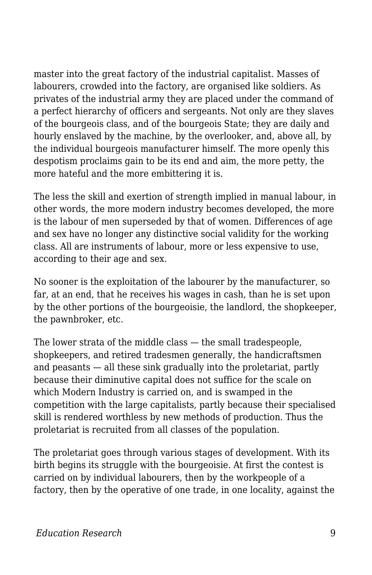master into the great factory of the industrial capitalist. Masses of labourers, crowded into the factory, are organised like soldiers. As privates of the industrial army they are placed under the command of a perfect hierarchy of officers and sergeants. Not only are they slaves of the bourgeois class, and of the bourgeois State; they are daily and hourly enslaved by the machine, by the overlooker, and, above all, by the individual bourgeois manufacturer himself. The more openly this despotism proclaims gain to be its end and aim, the more petty, the more hateful and the more embittering it is.

The less the skill and exertion of strength implied in manual labour, in other words, the more modern industry becomes developed, the more is the labour of men superseded by that of women. Differences of age and sex have no longer any distinctive social validity for the working class. All are instruments of labour, more or less expensive to use, according to their age and sex.

No sooner is the exploitation of the labourer by the manufacturer, so far, at an end, that he receives his wages in cash, than he is set upon by the other portions of the bourgeoisie, the landlord, the shopkeeper, the pawnbroker, etc.

The lower strata of the middle class — the small tradespeople, shopkeepers, and retired tradesmen generally, the handicraftsmen and peasants — all these sink gradually into the proletariat, partly because their diminutive capital does not suffice for the scale on which Modern Industry is carried on, and is swamped in the competition with the large capitalists, partly because their specialised skill is rendered worthless by new methods of production. Thus the proletariat is recruited from all classes of the population.

The proletariat goes through various stages of development. With its birth begins its struggle with the bourgeoisie. At first the contest is carried on by individual labourers, then by the workpeople of a factory, then by the operative of one trade, in one locality, against the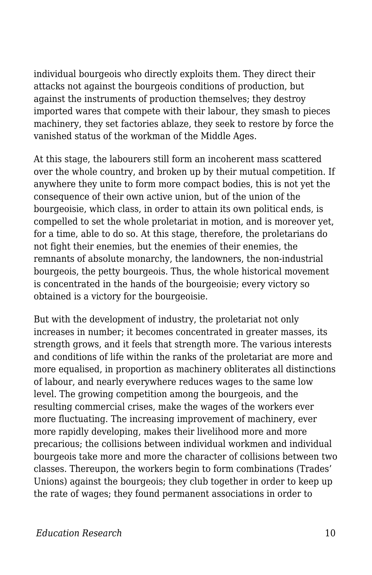individual bourgeois who directly exploits them. They direct their attacks not against the bourgeois conditions of production, but against the instruments of production themselves; they destroy imported wares that compete with their labour, they smash to pieces machinery, they set factories ablaze, they seek to restore by force the vanished status of the workman of the Middle Ages.

At this stage, the labourers still form an incoherent mass scattered over the whole country, and broken up by their mutual competition. If anywhere they unite to form more compact bodies, this is not yet the consequence of their own active union, but of the union of the bourgeoisie, which class, in order to attain its own political ends, is compelled to set the whole proletariat in motion, and is moreover yet, for a time, able to do so. At this stage, therefore, the proletarians do not fight their enemies, but the enemies of their enemies, the remnants of absolute monarchy, the landowners, the non-industrial bourgeois, the petty bourgeois. Thus, the whole historical movement is concentrated in the hands of the bourgeoisie; every victory so obtained is a victory for the bourgeoisie.

But with the development of industry, the proletariat not only increases in number; it becomes concentrated in greater masses, its strength grows, and it feels that strength more. The various interests and conditions of life within the ranks of the proletariat are more and more equalised, in proportion as machinery obliterates all distinctions of labour, and nearly everywhere reduces wages to the same low level. The growing competition among the bourgeois, and the resulting commercial crises, make the wages of the workers ever more fluctuating. The increasing improvement of machinery, ever more rapidly developing, makes their livelihood more and more precarious; the collisions between individual workmen and individual bourgeois take more and more the character of collisions between two classes. Thereupon, the workers begin to form combinations (Trades' Unions) against the bourgeois; they club together in order to keep up the rate of wages; they found permanent associations in order to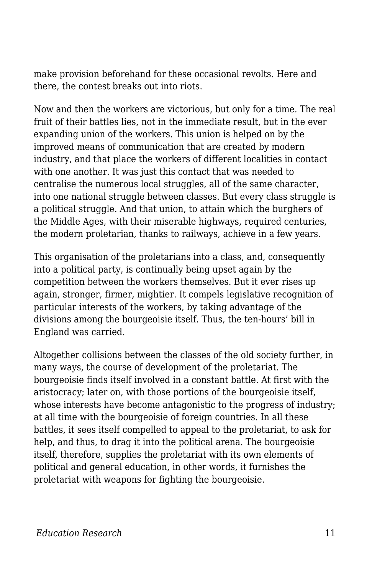make provision beforehand for these occasional revolts. Here and there, the contest breaks out into riots.

Now and then the workers are victorious, but only for a time. The real fruit of their battles lies, not in the immediate result, but in the ever expanding union of the workers. This union is helped on by the improved means of communication that are created by modern industry, and that place the workers of different localities in contact with one another. It was just this contact that was needed to centralise the numerous local struggles, all of the same character, into one national struggle between classes. But every class struggle is a political struggle. And that union, to attain which the burghers of the Middle Ages, with their miserable highways, required centuries, the modern proletarian, thanks to railways, achieve in a few years.

This organisation of the proletarians into a class, and, consequently into a political party, is continually being upset again by the competition between the workers themselves. But it ever rises up again, stronger, firmer, mightier. It compels legislative recognition of particular interests of the workers, by taking advantage of the divisions among the bourgeoisie itself. Thus, the ten-hours' bill in England was carried.

Altogether collisions between the classes of the old society further, in many ways, the course of development of the proletariat. The bourgeoisie finds itself involved in a constant battle. At first with the aristocracy; later on, with those portions of the bourgeoisie itself, whose interests have become antagonistic to the progress of industry; at all time with the bourgeoisie of foreign countries. In all these battles, it sees itself compelled to appeal to the proletariat, to ask for help, and thus, to drag it into the political arena. The bourgeoisie itself, therefore, supplies the proletariat with its own elements of political and general education, in other words, it furnishes the proletariat with weapons for fighting the bourgeoisie.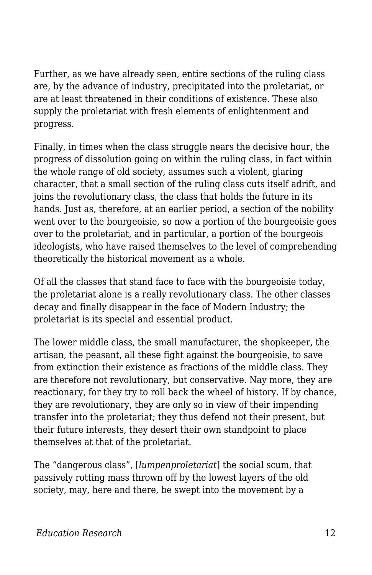Further, as we have already seen, entire sections of the ruling class are, by the advance of industry, precipitated into the proletariat, or are at least threatened in their conditions of existence. These also supply the proletariat with fresh elements of enlightenment and progress.

Finally, in times when the class struggle nears the decisive hour, the progress of dissolution going on within the ruling class, in fact within the whole range of old society, assumes such a violent, glaring character, that a small section of the ruling class cuts itself adrift, and joins the revolutionary class, the class that holds the future in its hands. Just as, therefore, at an earlier period, a section of the nobility went over to the bourgeoisie, so now a portion of the bourgeoisie goes over to the proletariat, and in particular, a portion of the bourgeois ideologists, who have raised themselves to the level of comprehending theoretically the historical movement as a whole.

Of all the classes that stand face to face with the bourgeoisie today, the proletariat alone is a really revolutionary class. The other classes decay and finally disappear in the face of Modern Industry; the proletariat is its special and essential product.

The lower middle class, the small manufacturer, the shopkeeper, the artisan, the peasant, all these fight against the bourgeoisie, to save from extinction their existence as fractions of the middle class. They are therefore not revolutionary, but conservative. Nay more, they are reactionary, for they try to roll back the wheel of history. If by chance, they are revolutionary, they are only so in view of their impending transfer into the proletariat; they thus defend not their present, but their future interests, they desert their own standpoint to place themselves at that of the proletariat.

The "dangerous class", [*lumpenproletariat*] the social scum, that passively rotting mass thrown off by the lowest layers of the old society, may, here and there, be swept into the movement by a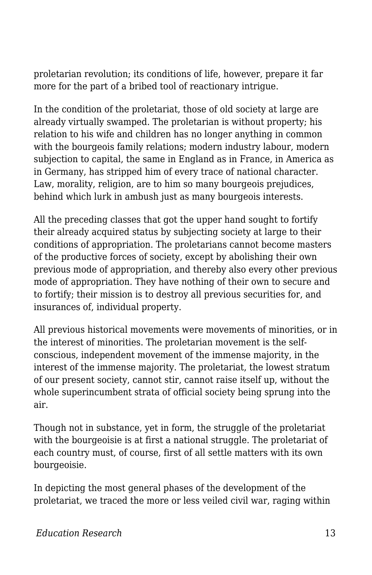proletarian revolution; its conditions of life, however, prepare it far more for the part of a bribed tool of reactionary intrigue.

In the condition of the proletariat, those of old society at large are already virtually swamped. The proletarian is without property; his relation to his wife and children has no longer anything in common with the bourgeois family relations; modern industry labour, modern subjection to capital, the same in England as in France, in America as in Germany, has stripped him of every trace of national character. Law, morality, religion, are to him so many bourgeois prejudices, behind which lurk in ambush just as many bourgeois interests.

All the preceding classes that got the upper hand sought to fortify their already acquired status by subjecting society at large to their conditions of appropriation. The proletarians cannot become masters of the productive forces of society, except by abolishing their own previous mode of appropriation, and thereby also every other previous mode of appropriation. They have nothing of their own to secure and to fortify; their mission is to destroy all previous securities for, and insurances of, individual property.

All previous historical movements were movements of minorities, or in the interest of minorities. The proletarian movement is the selfconscious, independent movement of the immense majority, in the interest of the immense majority. The proletariat, the lowest stratum of our present society, cannot stir, cannot raise itself up, without the whole superincumbent strata of official society being sprung into the air.

Though not in substance, yet in form, the struggle of the proletariat with the bourgeoisie is at first a national struggle. The proletariat of each country must, of course, first of all settle matters with its own bourgeoisie.

In depicting the most general phases of the development of the proletariat, we traced the more or less veiled civil war, raging within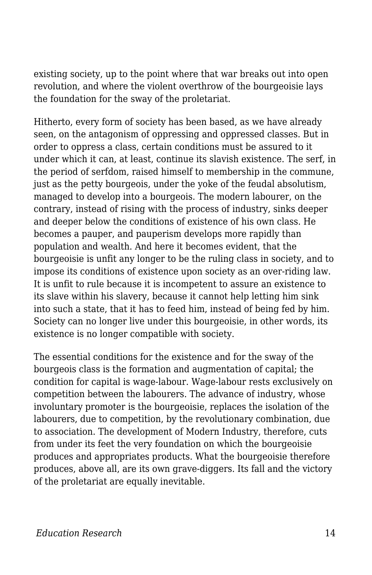existing society, up to the point where that war breaks out into open revolution, and where the violent overthrow of the bourgeoisie lays the foundation for the sway of the proletariat.

Hitherto, every form of society has been based, as we have already seen, on the antagonism of oppressing and oppressed classes. But in order to oppress a class, certain conditions must be assured to it under which it can, at least, continue its slavish existence. The serf, in the period of serfdom, raised himself to membership in the commune, just as the petty bourgeois, under the yoke of the feudal absolutism, managed to develop into a bourgeois. The modern labourer, on the contrary, instead of rising with the process of industry, sinks deeper and deeper below the conditions of existence of his own class. He becomes a pauper, and pauperism develops more rapidly than population and wealth. And here it becomes evident, that the bourgeoisie is unfit any longer to be the ruling class in society, and to impose its conditions of existence upon society as an over-riding law. It is unfit to rule because it is incompetent to assure an existence to its slave within his slavery, because it cannot help letting him sink into such a state, that it has to feed him, instead of being fed by him. Society can no longer live under this bourgeoisie, in other words, its existence is no longer compatible with society.

The essential conditions for the existence and for the sway of the bourgeois class is the formation and augmentation of capital; the condition for capital is wage-labour. Wage-labour rests exclusively on competition between the labourers. The advance of industry, whose involuntary promoter is the bourgeoisie, replaces the isolation of the labourers, due to competition, by the revolutionary combination, due to association. The development of Modern Industry, therefore, cuts from under its feet the very foundation on which the bourgeoisie produces and appropriates products. What the bourgeoisie therefore produces, above all, are its own grave-diggers. Its fall and the victory of the proletariat are equally inevitable.